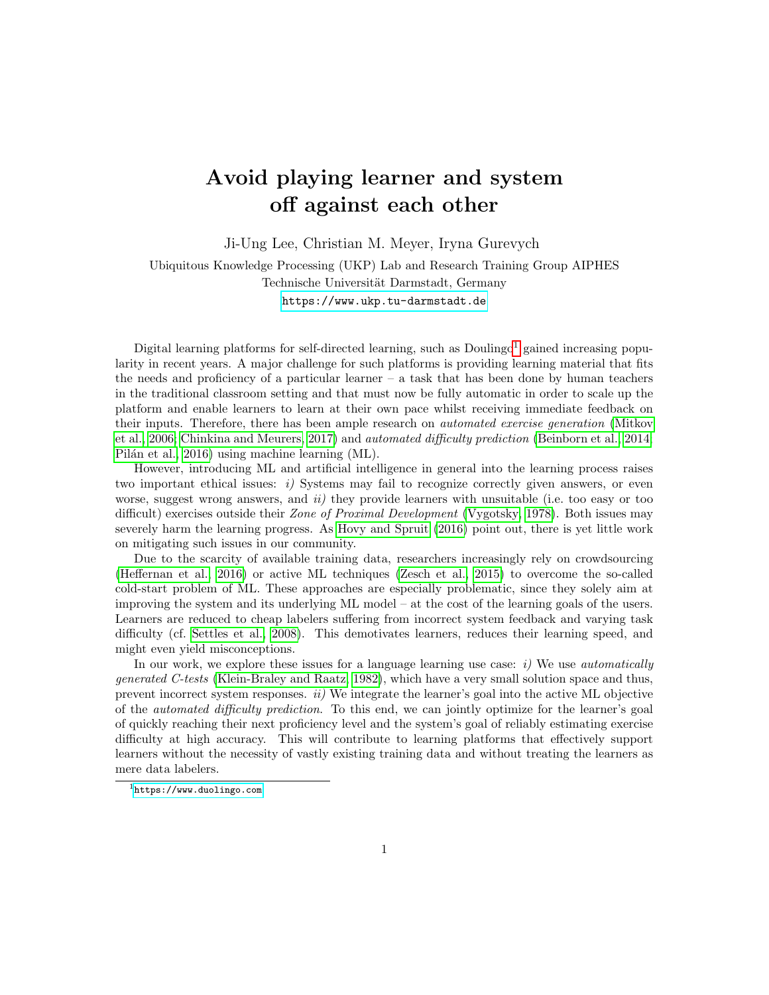## Avoid playing learner and system off against each other

Ji-Ung Lee, Christian M. Meyer, Iryna Gurevych

Ubiquitous Knowledge Processing (UKP) Lab and Research Training Group AIPHES Technische Universität Darmstadt, Germany <https://www.ukp.tu-darmstadt.de>

Digital learning platforms for self-directed learning, such as  $Doulingo<sup>1</sup>$  $Doulingo<sup>1</sup>$  $Doulingo<sup>1</sup>$  gained increasing popularity in recent years. A major challenge for such platforms is providing learning material that fits the needs and proficiency of a particular learner  $-$  a task that has been done by human teachers in the traditional classroom setting and that must now be fully automatic in order to scale up the platform and enable learners to learn at their own pace whilst receiving immediate feedback on their inputs. Therefore, there has been ample research on *automated exercise generation* [\(Mitkov](#page-1-0) [et al., 2006;](#page-1-0) [Chinkina and Meurers, 2017\)](#page-1-1) and automated difficulty prediction [\(Beinborn et al., 2014;](#page-1-2) Pilán et al., 2016) using machine learning (ML).

However, introducing ML and artificial intelligence in general into the learning process raises two important ethical issues:  $i$ ) Systems may fail to recognize correctly given answers, or even worse, suggest wrong answers, and  $ii$ ) they provide learners with unsuitable (i.e. too easy or too difficult) exercises outside their *Zone of Proximal Development* [\(Vygotsky, 1978\)](#page-1-4). Both issues may severely harm the learning progress. As [Hovy and Spruit](#page-1-5) [\(2016\)](#page-1-5) point out, there is yet little work on mitigating such issues in our community.

Due to the scarcity of available training data, researchers increasingly rely on crowdsourcing [\(Heffernan et al., 2016\)](#page-1-6) or active ML techniques [\(Zesch et al., 2015\)](#page-1-7) to overcome the so-called cold-start problem of ML. These approaches are especially problematic, since they solely aim at improving the system and its underlying ML model – at the cost of the learning goals of the users. Learners are reduced to cheap labelers suffering from incorrect system feedback and varying task difficulty (cf. [Settles et al., 2008\)](#page-1-8). This demotivates learners, reduces their learning speed, and might even yield misconceptions.

In our work, we explore these issues for a language learning use case:  $i)$  We use *automatically* generated C-tests [\(Klein-Braley and Raatz, 1982\)](#page-1-9), which have a very small solution space and thus, prevent incorrect system responses.  $ii)$  We integrate the learner's goal into the active ML objective of the automated difficulty prediction. To this end, we can jointly optimize for the learner's goal of quickly reaching their next proficiency level and the system's goal of reliably estimating exercise difficulty at high accuracy. This will contribute to learning platforms that effectively support learners without the necessity of vastly existing training data and without treating the learners as mere data labelers.

<span id="page-0-0"></span><sup>1</sup><https://www.duolingo.com>